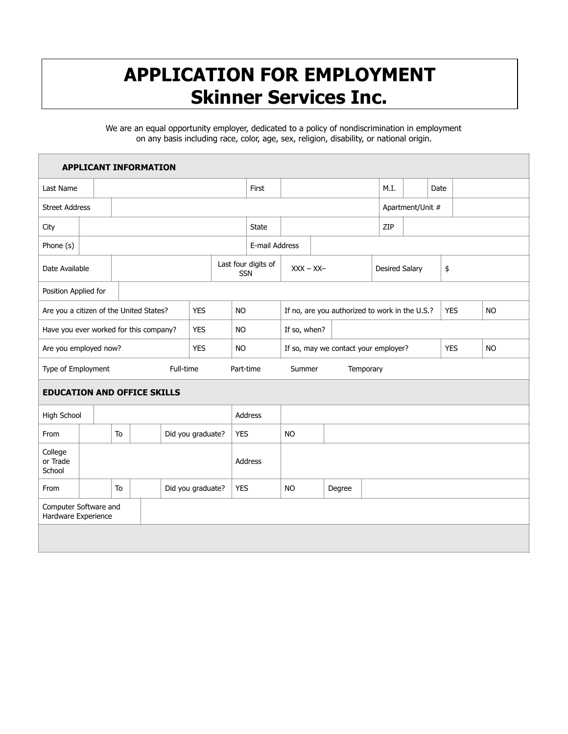## **APPLICATION FOR EMPLOYMENT Skinner Services Inc.**

We are an equal opportunity employer, dedicated to a policy of nondiscrimination in employment on any basis including race, color, age, sex, religion, disability, or national origin.

| <b>APPLICANT INFORMATION</b>                 |         |                         |  |            |                                   |                                                |           |              |                                      |  |           |                       |                  |      |           |            |  |           |
|----------------------------------------------|---------|-------------------------|--|------------|-----------------------------------|------------------------------------------------|-----------|--------------|--------------------------------------|--|-----------|-----------------------|------------------|------|-----------|------------|--|-----------|
| Last Name                                    |         |                         |  |            |                                   |                                                |           | First        |                                      |  |           | M.I.                  |                  | Date |           |            |  |           |
| <b>Street Address</b>                        |         |                         |  |            |                                   |                                                |           |              |                                      |  |           |                       | Apartment/Unit # |      |           |            |  |           |
| City                                         |         |                         |  |            |                                   |                                                |           | <b>State</b> |                                      |  |           |                       | ZIP              |      |           |            |  |           |
| Phone (s)                                    |         | E-mail Address          |  |            |                                   |                                                |           |              |                                      |  |           |                       |                  |      |           |            |  |           |
| Date Available                               |         |                         |  |            | Last four digits of<br><b>SSN</b> |                                                |           |              | $XXX - XX -$                         |  |           | <b>Desired Salary</b> |                  |      | \$        |            |  |           |
| Position Applied for                         |         |                         |  |            |                                   |                                                |           |              |                                      |  |           |                       |                  |      |           |            |  |           |
| Are you a citizen of the United States?      |         | <b>YES</b><br><b>NO</b> |  |            |                                   | If no, are you authorized to work in the U.S.? |           |              |                                      |  |           |                       | <b>YES</b>       |      | <b>NO</b> |            |  |           |
| Have you ever worked for this company?       |         |                         |  |            | <b>YES</b>                        | <b>NO</b>                                      |           |              | If so, when?                         |  |           |                       |                  |      |           |            |  |           |
| Are you employed now?                        |         |                         |  |            | <b>YES</b>                        |                                                | <b>NO</b> |              | If so, may we contact your employer? |  |           |                       |                  |      |           | <b>YES</b> |  | <b>NO</b> |
| Full-time<br>Type of Employment              |         |                         |  |            |                                   |                                                | Part-time |              | Summer                               |  | Temporary |                       |                  |      |           |            |  |           |
| <b>EDUCATION AND OFFICE SKILLS</b>           |         |                         |  |            |                                   |                                                |           |              |                                      |  |           |                       |                  |      |           |            |  |           |
| High School                                  | Address |                         |  |            |                                   |                                                |           |              |                                      |  |           |                       |                  |      |           |            |  |           |
| From                                         |         | To<br>Did you graduate? |  |            | <b>YES</b>                        |                                                | <b>NO</b> |              |                                      |  |           |                       |                  |      |           |            |  |           |
| College<br>or Trade<br>School                |         |                         |  |            | <b>Address</b>                    |                                                |           |              |                                      |  |           |                       |                  |      |           |            |  |           |
| From                                         |         | To<br>Did you graduate? |  | <b>YES</b> |                                   | <b>NO</b>                                      |           | Degree       |                                      |  |           |                       |                  |      |           |            |  |           |
| Computer Software and<br>Hardware Experience |         |                         |  |            |                                   |                                                |           |              |                                      |  |           |                       |                  |      |           |            |  |           |
|                                              |         |                         |  |            |                                   |                                                |           |              |                                      |  |           |                       |                  |      |           |            |  |           |